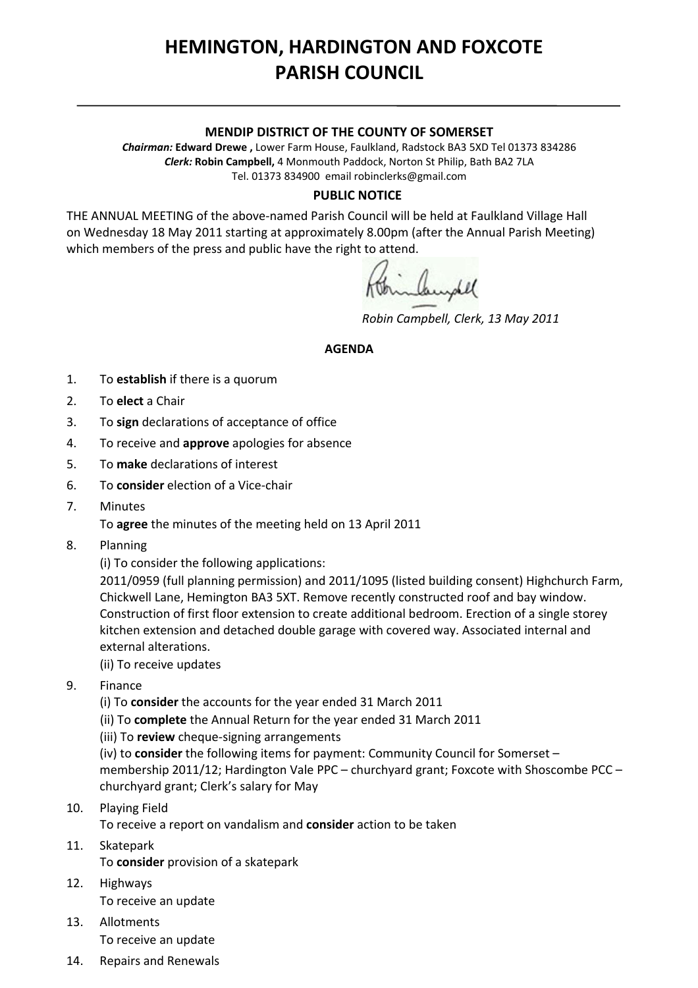# **HEMINGTON, HARDINGTON AND FOXCOTE PARISH COUNCIL**

#### **MENDIP DISTRICT OF THE COUNTY OF SOMERSET**

*Chairman:* **Edward Drewe ,** Lower Farm House, Faulkland, Radstock BA3 5XD Tel 01373 834286 *Clerk:* **Robin Campbell,** 4 Monmouth Paddock, Norton St Philip, Bath BA2 7LA Tel. 01373 834900 email [robinclerks@gmail.com](mailto:robinclerks@googlemail.com)

#### **PUBLIC NOTICE**

THE ANNUAL MEETING of the above‐named Parish Council will be held at Faulkland Village Hall on Wednesday 18 May 2011 starting at approximately 8.00pm (after the Annual Parish Meeting) which members of the press and public have the right to attend.

mandel

*Robin Campbell, Clerk, 13 May 2011*

### **AGENDA**

- 1. To **establish** if there is a quorum
- 2. To **elect** a Chair
- 3. To **sign** declarations of acceptance of office
- 4. To receive and **approve** apologies for absence
- 5. To **make** declarations of interest
- 6. To **consider** election of a Vice‐chair
- 7. Minutes
	- To **agree** the minutes of the meeting held on 13 April 2011
- 8. Planning

(i) To consider the following applications:

2011/0959 (full planning permission) and 2011/1095 (listed building consent) Highchurch Farm, Chickwell Lane, Hemington BA3 5XT. Remove recently constructed roof and bay window. Construction of first floor extension to create additional bedroom. Erection of a single storey kitchen extension and detached double garage with covered way. Associated internal and external alterations.

#### (ii) To receive updates

- 9. Finance
	- (i) To **consider** the accounts for the year ended 31 March 2011
	- (ii) To **complete** the Annual Return for the year ended 31 March 2011
	- (iii) To **review** cheque‐signing arrangements

(iv) to **consider** the following items for payment: Community Council for Somerset – membership 2011/12; Hardington Vale PPC – churchyard grant; Foxcote with Shoscombe PCC – churchyard grant; Clerk's salary for May

- 10. Playing Field To receive a report on vandalism and **consider** action to be taken
- 11. Skatepark
	- To **consider** provision of a skatepark
- 12. Highways To receive an update
- 13. Allotments To receive an update
- 14. Repairs and Renewals